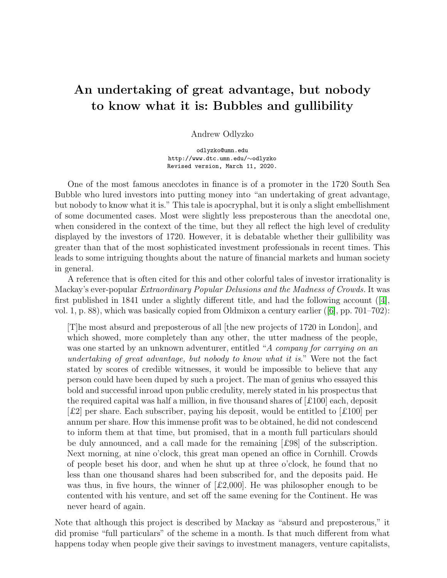# An undertaking of great advantage, but nobody to know what it is: Bubbles and gullibility

Andrew Odlyzko

odlyzko@umn.edu http://www.dtc.umn.edu/∼odlyzko Revised version, March 11, 2020.

One of the most famous anecdotes in finance is of a promoter in the 1720 South Sea Bubble who lured investors into putting money into "an undertaking of great advantage, but nobody to know what it is." This tale is apocryphal, but it is only a slight embellishment of some documented cases. Most were slightly less preposterous than the anecdotal one, when considered in the context of the time, but they all reflect the high level of credulity displayed by the investors of 1720. However, it is debatable whether their gullibility was greater than that of the most sophisticated investment professionals in recent times. This leads to some intriguing thoughts about the nature of financial markets and human society in general.

A reference that is often cited for this and other colorful tales of investor irrationality is Mackay's ever-popular *Extraordinary Popular Delusions and the Madness of Crowds.* It was first published in 1841 under a slightly different title, and had the following account  $([4],$  $([4],$  $([4],$ vol. 1, p. 88), which was basically copied from Oldmixon a century earlier ([\[6\]](#page-6-0), pp. 701–702):

[T]he most absurd and preposterous of all [the new projects of 1720 in London], and which showed, more completely than any other, the utter madness of the people, was one started by an unknown adventurer, entitled "*A company for carrying on an undertaking of great advantage, but nobody to know what it is*." Were not the fact stated by scores of credible witnesses, it would be impossible to believe that any person could have been duped by such a project. The man of genius who essayed this bold and successful inroad upon public credulity, merely stated in his prospectus that the required capital was half a million, in five thousand shares of  $[£100]$  each, deposit  $\lceil \pounds 2 \rceil$  per share. Each subscriber, paying his deposit, would be entitled to  $\lceil \pounds 100 \rceil$  per annum per share. How this immense profit was to be obtained, he did not condescend to inform them at that time, but promised, that in a month full particulars should be duly announced, and a call made for the remaining [£98] of the subscription. Next morning, at nine o'clock, this great man opened an office in Cornhill. Crowds of people beset his door, and when he shut up at three o'clock, he found that no less than one thousand shares had been subscribed for, and the deposits paid. He was thus, in five hours, the winner of  $\mathcal{L}2,000$ . He was philosopher enough to be contented with his venture, and set off the same evening for the Continent. He was never heard of again.

Note that although this project is described by Mackay as "absurd and preposterous," it did promise "full particulars" of the scheme in a month. Is that much different from what happens today when people give their savings to investment managers, venture capitalists,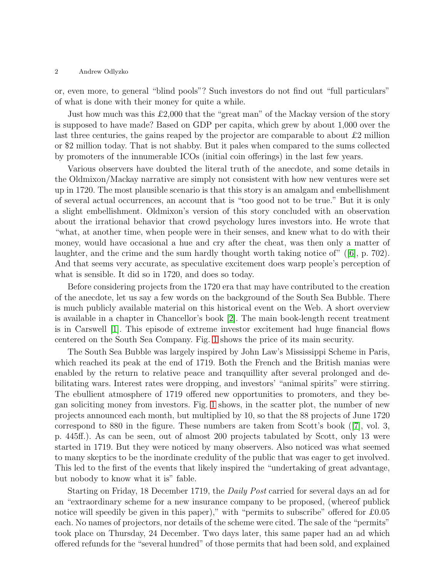### 2 Andrew Odlyzko

or, even more, to general "blind pools"? Such investors do not find out "full particulars" of what is done with their money for quite a while.

Just how much was this  $\pounds 2,000$  that the "great man" of the Mackay version of the story is supposed to have made? Based on GDP per capita, which grew by about 1,000 over the last three centuries, the gains reaped by the projector are comparable to about  $\pounds 2$  million or \$2 million today. That is not shabby. But it pales when compared to the sums collected by promoters of the innumerable ICOs (initial coin offerings) in the last few years.

Various observers have doubted the literal truth of the anecdote, and some details in the Oldmixon/Mackay narrative are simply not consistent with how new ventures were set up in 1720. The most plausible scenario is that this story is an amalgam and embellishment of several actual occurrences, an account that is "too good not to be true." But it is only a slight embellishment. Oldmixon's version of this story concluded with an observation about the irrational behavior that crowd psychology lures investors into. He wrote that "what, at another time, when people were in their senses, and knew what to do with their money, would have occasional a hue and cry after the cheat, was then only a matter of laughter, and the crime and the sum hardly thought worth taking notice of" ([\[6\]](#page-6-0), p. 702). And that seems very accurate, as speculative excitement does warp people's perception of what is sensible. It did so in 1720, and does so today.

Before considering projects from the 1720 era that may have contributed to the creation of the anecdote, let us say a few words on the background of the South Sea Bubble. There is much publicly available material on this historical event on the Web. A short overview is available in a chapter in Chancellor's book [\[2\]](#page-5-1). The main book-length recent treatment is in Carswell [\[1\]](#page-5-2). This episode of extreme investor excitement had huge financial flows centered on the South Sea Company. Fig. [1](#page-2-0) shows the price of its main security.

The South Sea Bubble was largely inspired by John Law's Mississippi Scheme in Paris, which reached its peak at the end of 1719. Both the French and the British manias were enabled by the return to relative peace and tranquillity after several prolonged and debilitating wars. Interest rates were dropping, and investors' "animal spirits" were stirring. The ebullient atmosphere of 1719 offered new opportunities to promoters, and they began soliciting money from investors. Fig. [1](#page-2-0) shows, in the scatter plot, the number of new projects announced each month, but multiplied by 10, so that the 88 projects of June 1720 correspond to 880 in the figure. These numbers are taken from Scott's book ([\[7\]](#page-6-1), vol. 3, p. 445ff.). As can be seen, out of almost 200 projects tabulated by Scott, only 13 were started in 1719. But they were noticed by many observers. Also noticed was what seemed to many skeptics to be the inordinate credulity of the public that was eager to get involved. This led to the first of the events that likely inspired the "undertaking of great advantage, but nobody to know what it is" fable.

Starting on Friday, 18 December 1719, the *Daily Post* carried for several days an ad for an "extraordinary scheme for a new insurance company to be proposed, (whereof publick notice will speedily be given in this paper)," with "permits to subscribe" offered for £0.05 each. No names of projectors, nor details of the scheme were cited. The sale of the "permits" took place on Thursday, 24 December. Two days later, this same paper had an ad which offered refunds for the "several hundred" of those permits that had been sold, and explained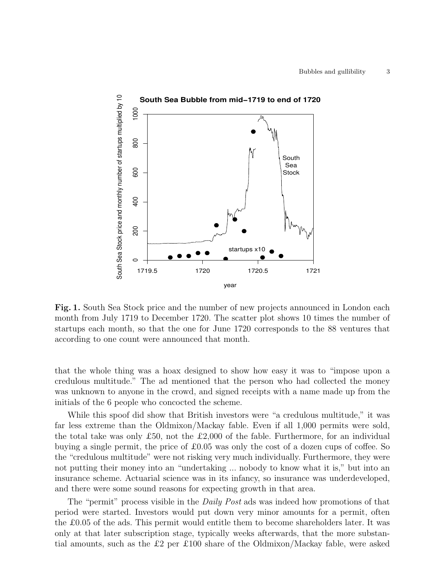

<span id="page-2-0"></span>Fig. 1. South Sea Stock price and the number of new projects announced in London each month from July 1719 to December 1720. The scatter plot shows 10 times the number of startups each month, so that the one for June 1720 corresponds to the 88 ventures that according to one count were announced that month.

that the whole thing was a hoax designed to show how easy it was to "impose upon a credulous multitude." The ad mentioned that the person who had collected the money was unknown to anyone in the crowd, and signed receipts with a name made up from the initials of the 6 people who concocted the scheme.

While this spoof did show that British investors were "a credulous multitude," it was far less extreme than the Oldmixon/Mackay fable. Even if all 1,000 permits were sold, the total take was only £50, not the £2,000 of the fable. Furthermore, for an individual buying a single permit, the price of  $\pounds 0.05$  was only the cost of a dozen cups of coffee. So the "credulous multitude" were not risking very much individually. Furthermore, they were not putting their money into an "undertaking ... nobody to know what it is," but into an insurance scheme. Actuarial science was in its infancy, so insurance was underdeveloped, and there were some sound reasons for expecting growth in that area.

The "permit" process visible in the *Daily Post* ads was indeed how promotions of that period were started. Investors would put down very minor amounts for a permit, often the £0.05 of the ads. This permit would entitle them to become shareholders later. It was only at that later subscription stage, typically weeks afterwards, that the more substantial amounts, such as the £2 per £100 share of the Oldmixon/Mackay fable, were asked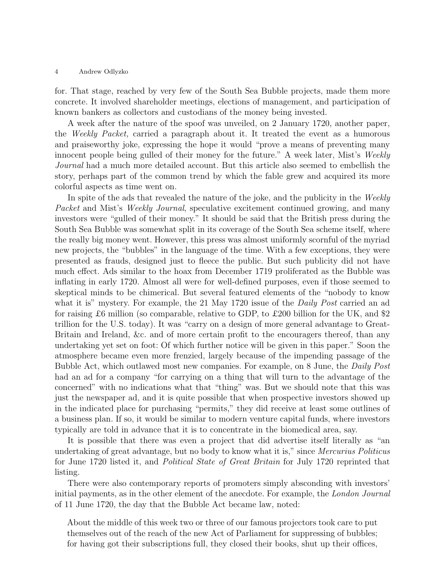### 4 Andrew Odlyzko

for. That stage, reached by very few of the South Sea Bubble projects, made them more concrete. It involved shareholder meetings, elections of management, and participation of known bankers as collectors and custodians of the money being invested.

A week after the nature of the spoof was unveiled, on 2 January 1720, another paper, the *Weekly Packet,* carried a paragraph about it. It treated the event as a humorous and praiseworthy joke, expressing the hope it would "prove a means of preventing many innocent people being gulled of their money for the future." A week later, Mist's *Weekly Journal* had a much more detailed account. But this article also seemed to embellish the story, perhaps part of the common trend by which the fable grew and acquired its more colorful aspects as time went on.

In spite of the ads that revealed the nature of the joke, and the publicity in the *Weekly Packet* and Mist's *Weekly Journal*, speculative excitement continued growing, and many investors were "gulled of their money." It should be said that the British press during the South Sea Bubble was somewhat split in its coverage of the South Sea scheme itself, where the really big money went. However, this press was almost uniformly scornful of the myriad new projects, the "bubbles" in the language of the time. With a few exceptions, they were presented as frauds, designed just to fleece the public. But such publicity did not have much effect. Ads similar to the hoax from December 1719 proliferated as the Bubble was inflating in early 1720. Almost all were for well-defined purposes, even if those seemed to skeptical minds to be chimerical. But several featured elements of the "nobody to know what it is" mystery. For example, the 21 May 1720 issue of the *Daily Post* carried an ad for raising £6 million (so comparable, relative to GDP, to £200 billion for the UK, and \$2 trillion for the U.S. today). It was "carry on a design of more general advantage to Great-Britain and Ireland, &c. and of more certain profit to the encouragers thereof, than any undertaking yet set on foot: Of which further notice will be given in this paper." Soon the atmosphere became even more frenzied, largely because of the impending passage of the Bubble Act, which outlawed most new companies. For example, on 8 June, the *Daily Post* had an ad for a company "for carrying on a thing that will turn to the advantage of the concerned" with no indications what that "thing" was. But we should note that this was just the newspaper ad, and it is quite possible that when prospective investors showed up in the indicated place for purchasing "permits," they did receive at least some outlines of a business plan. If so, it would be similar to modern venture capital funds, where investors typically are told in advance that it is to concentrate in the biomedical area, say.

It is possible that there was even a project that did advertise itself literally as "an undertaking of great advantage, but no body to know what it is," since *Mercurius Politicus* for June 1720 listed it, and *Political State of Great Britain* for July 1720 reprinted that listing.

There were also contemporary reports of promoters simply absconding with investors' initial payments, as in the other element of the anecdote. For example, the *London Journal* of 11 June 1720, the day that the Bubble Act became law, noted:

About the middle of this week two or three of our famous projectors took care to put themselves out of the reach of the new Act of Parliament for suppressing of bubbles; for having got their subscriptions full, they closed their books, shut up their offices,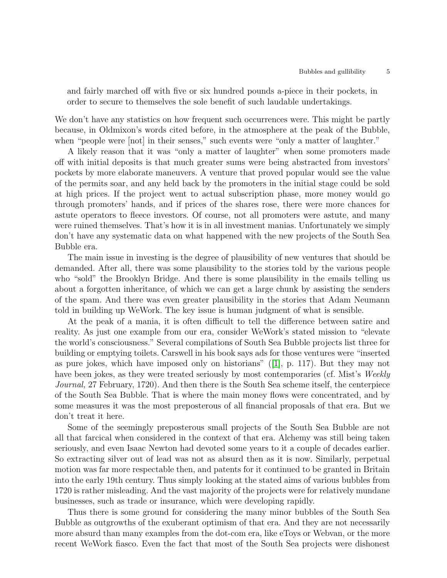and fairly marched off with five or six hundred pounds a-piece in their pockets, in order to secure to themselves the sole benefit of such laudable undertakings.

We don't have any statistics on how frequent such occurrences were. This might be partly because, in Oldmixon's words cited before, in the atmosphere at the peak of the Bubble, when "people were  $[not]$  in their senses," such events were "only a matter of laughter."

A likely reason that it was "only a matter of laughter" when some promoters made off with initial deposits is that much greater sums were being abstracted from investors' pockets by more elaborate maneuvers. A venture that proved popular would see the value of the permits soar, and any held back by the promoters in the initial stage could be sold at high prices. If the project went to actual subscription phase, more money would go through promoters' hands, and if prices of the shares rose, there were more chances for astute operators to fleece investors. Of course, not all promoters were astute, and many were ruined themselves. That's how it is in all investment manias. Unfortunately we simply don't have any systematic data on what happened with the new projects of the South Sea Bubble era.

The main issue in investing is the degree of plausibility of new ventures that should be demanded. After all, there was some plausibility to the stories told by the various people who "sold" the Brooklyn Bridge. And there is some plausibility in the emails telling us about a forgotten inheritance, of which we can get a large chunk by assisting the senders of the spam. And there was even greater plausibility in the stories that Adam Neumann told in building up WeWork. The key issue is human judgment of what is sensible.

At the peak of a mania, it is often difficult to tell the difference between satire and reality. As just one example from our era, consider WeWork's stated mission to "elevate the world's consciousness." Several compilations of South Sea Bubble projects list three for building or emptying toilets. Carswell in his book says ads for those ventures were "inserted as pure jokes, which have imposed only on historians" ([\[1\]](#page-5-2), p. 117). But they may not have been jokes, as they were treated seriously by most contemporaries (cf. Mist's *Weekly Journal*, 27 February, 1720). And then there is the South Sea scheme itself, the centerpiece of the South Sea Bubble. That is where the main money flows were concentrated, and by some measures it was the most preposterous of all financial proposals of that era. But we don't treat it here.

Some of the seemingly preposterous small projects of the South Sea Bubble are not all that farcical when considered in the context of that era. Alchemy was still being taken seriously, and even Isaac Newton had devoted some years to it a couple of decades earlier. So extracting silver out of lead was not as absurd then as it is now. Similarly, perpetual motion was far more respectable then, and patents for it continued to be granted in Britain into the early 19th century. Thus simply looking at the stated aims of various bubbles from 1720 is rather misleading. And the vast majority of the projects were for relatively mundane businesses, such as trade or insurance, which were developing rapidly.

Thus there is some ground for considering the many minor bubbles of the South Sea Bubble as outgrowths of the exuberant optimism of that era. And they are not necessarily more absurd than many examples from the dot-com era, like eToys or Webvan, or the more recent WeWork fiasco. Even the fact that most of the South Sea projects were dishonest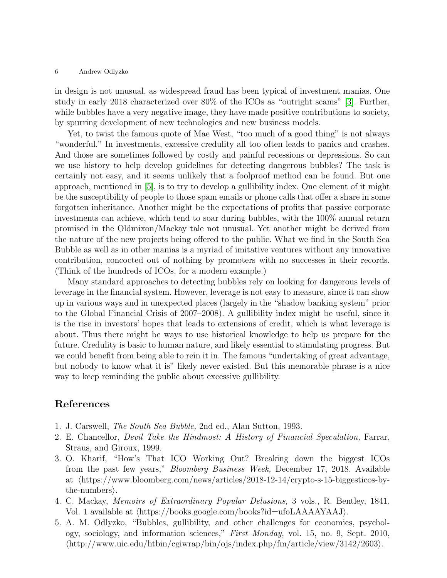### 6 Andrew Odlyzko

in design is not unusual, as widespread fraud has been typical of investment manias. One study in early 2018 characterized over 80% of the ICOs as "outright scams" [\[3\]](#page-5-3). Further, while bubbles have a very negative image, they have made positive contributions to society, by spurring development of new technologies and new business models.

Yet, to twist the famous quote of Mae West, "too much of a good thing" is not always "wonderful." In investments, excessive credulity all too often leads to panics and crashes. And those are sometimes followed by costly and painful recessions or depressions. So can we use history to help develop guidelines for detecting dangerous bubbles? The task is certainly not easy, and it seems unlikely that a foolproof method can be found. But one approach, mentioned in [\[5\]](#page-5-4), is to try to develop a gullibility index. One element of it might be the susceptibility of people to those spam emails or phone calls that offer a share in some forgotten inheritance. Another might be the expectations of profits that passive corporate investments can achieve, which tend to soar during bubbles, with the 100% annual return promised in the Oldmixon/Mackay tale not unusual. Yet another might be derived from the nature of the new projects being offered to the public. What we find in the South Sea Bubble as well as in other manias is a myriad of imitative ventures without any innovative contribution, concocted out of nothing by promoters with no successes in their records. (Think of the hundreds of ICOs, for a modern example.)

Many standard approaches to detecting bubbles rely on looking for dangerous levels of leverage in the financial system. However, leverage is not easy to measure, since it can show up in various ways and in unexpected places (largely in the "shadow banking system" prior to the Global Financial Crisis of 2007–2008). A gullibility index might be useful, since it is the rise in investors' hopes that leads to extensions of credit, which is what leverage is about. Thus there might be ways to use historical knowledge to help us prepare for the future. Credulity is basic to human nature, and likely essential to stimulating progress. But we could benefit from being able to rein it in. The famous "undertaking of great advantage, but nobody to know what it is" likely never existed. But this memorable phrase is a nice way to keep reminding the public about excessive gullibility.

## <span id="page-5-2"></span>References

- <span id="page-5-1"></span>1. J. Carswell, *The South Sea Bubble,* 2nd ed., Alan Sutton, 1993.
- <span id="page-5-3"></span>2. E. Chancellor, *Devil Take the Hindmost: A History of Financial Speculation,* Farrar, Straus, and Giroux, 1999.
- 3. O. Kharif, "How's That ICO Working Out? Breaking down the biggest ICOs from the past few years," *Bloomberg Business Week,* December 17, 2018. Available at  $\hbox{https://www.bloomberg.com/news/articles/2018-12-14/crypto-s-15-biggesticos-by$  $the$ -numbers.
- <span id="page-5-0"></span>4. C. Mackay, *Memoirs of Extraordinary Popular Delusions,* 3 vols., R. Bentley, 1841. Vol. 1 available at  $\langle$ https://books.google.com/books?id=ufoLAAAAYAAJ $\rangle$ .
- <span id="page-5-4"></span>5. A. M. Odlyzko, "Bubbles, gullibility, and other challenges for economics, psychology, sociology, and information sciences," *First Monday,* vol. 15, no. 9, Sept. 2010,  $\langle \frac{\hbar \omega}{2603} \rangle$ .